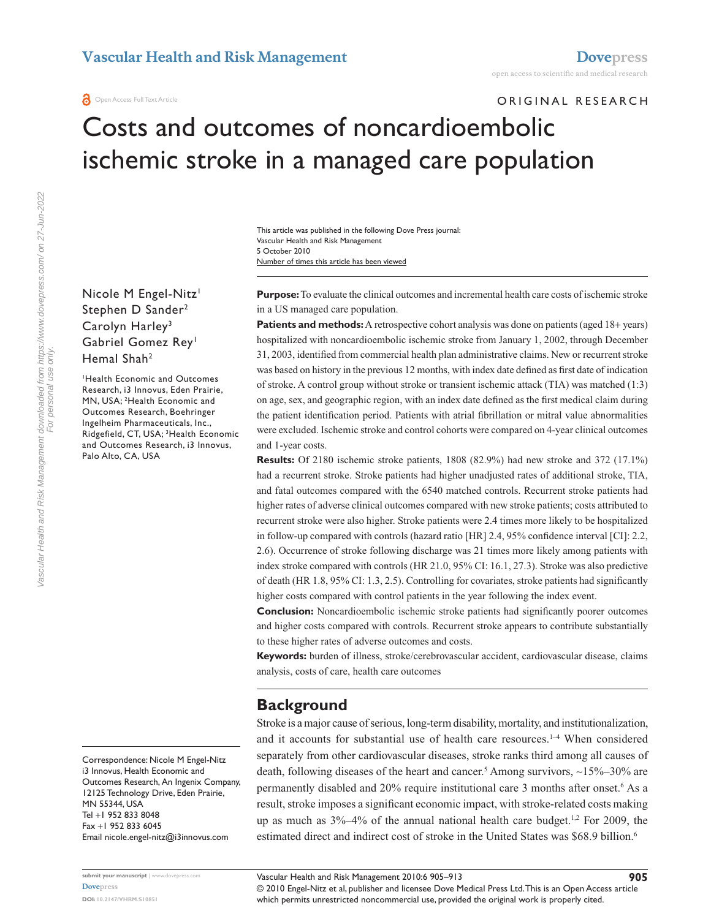### ORIGINAL RESEARCH

# Costs and outcomes of noncardioembolic ischemic stroke in a managed care population

Number of times this article has been viewed This article was published in the following Dove Press journal: Vascular Health and Risk Management 5 October 2010

Nicole M Engel-Nitz<sup>1</sup> Stephen D Sander<sup>2</sup> Carolyn Harley<sup>3</sup> Gabriel Gomez Rey<sup>1</sup> Hemal Shah<sup>2</sup>

1 Health Economic and Outcomes Research, i3 Innovus, Eden Prairie, MN, USA; 2 Health Economic and Outcomes Research, Boehringer Ingelheim Pharmaceuticals, Inc., Ridgefield, CT, USA; <sup>3</sup>Health Economic and Outcomes Research, i3 Innovus, Palo Alto, CA, USA

Correspondence: Nicole M Engel-Nitz i3 Innovus, Health Economic and Outcomes Research, An Ingenix Company, 12125 Technology Drive, Eden Prairie, MN 55344, USA Tel +1 952 833 8048 Fax +1 952 833 6045 Email [nicole.engel-nitz@i3innovus.com](mailto:nicole.engel-nitz@i3innovus.com)

**Purpose:** To evaluate the clinical outcomes and incremental health care costs of ischemic stroke in a US managed care population.

**Patients and methods:** A retrospective cohort analysis was done on patients (aged 18+ years) hospitalized with noncardioembolic ischemic stroke from January 1, 2002, through December 31, 2003, identified from commercial health plan administrative claims. New or recurrent stroke was based on history in the previous 12 months, with index date defined as first date of indication of stroke. A control group without stroke or transient ischemic attack (TIA) was matched (1:3) on age, sex, and geographic region, with an index date defined as the first medical claim during the patient identification period. Patients with atrial fibrillation or mitral value abnormalities were excluded. Ischemic stroke and control cohorts were compared on 4-year clinical outcomes and 1-year costs.

**Results:** Of 2180 ischemic stroke patients, 1808 (82.9%) had new stroke and 372 (17.1%) had a recurrent stroke. Stroke patients had higher unadjusted rates of additional stroke, TIA, and fatal outcomes compared with the 6540 matched controls. Recurrent stroke patients had higher rates of adverse clinical outcomes compared with new stroke patients; costs attributed to recurrent stroke were also higher. Stroke patients were 2.4 times more likely to be hospitalized in follow-up compared with controls (hazard ratio [HR] 2.4, 95% confidence interval [CI]: 2.2, 2.6). Occurrence of stroke following discharge was 21 times more likely among patients with index stroke compared with controls (HR 21.0, 95% CI: 16.1, 27.3). Stroke was also predictive of death (HR 1.8, 95% CI: 1.3, 2.5). Controlling for covariates, stroke patients had significantly higher costs compared with control patients in the year following the index event.

**Conclusion:** Noncardioembolic ischemic stroke patients had significantly poorer outcomes and higher costs compared with controls. Recurrent stroke appears to contribute substantially to these higher rates of adverse outcomes and costs.

**Keywords:** burden of illness, stroke/cerebrovascular accident, cardiovascular disease, claims analysis, costs of care, health care outcomes

# **Background**

Stroke is a major cause of serious, long-term disability, mortality, and institutionalization, and it accounts for substantial use of health care resources.<sup>1-4</sup> When considered separately from other cardiovascular diseases, stroke ranks third among all causes of death, following diseases of the heart and cancer.<sup>5</sup> Among survivors, ~15%–30% are permanently disabled and 20% require institutional care 3 months after onset.<sup>6</sup> As a result, stroke imposes a significant economic impact, with stroke-related costs making up as much as  $3\% -4\%$  of the annual national health care budget.<sup>1,2</sup> For 2009, the estimated direct and indirect cost of stroke in the United States was \$68.9 billion.<sup>6</sup>

© 2010 Engel-Nitz et al, publisher and licensee Dove Medical Press Ltd. This is an Open Access article which permits unrestricted noncommercial use, provided the original work is properly cited.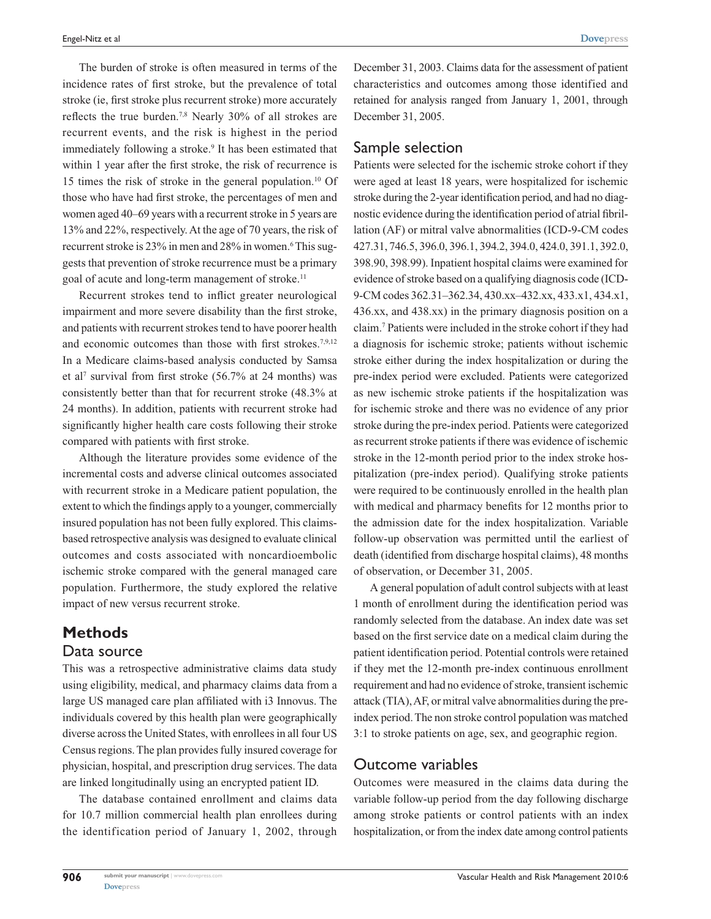The burden of stroke is often measured in terms of the incidence rates of first stroke, but the prevalence of total stroke (ie, first stroke plus recurrent stroke) more accurately reflects the true burden.7,8 Nearly 30% of all strokes are recurrent events, and the risk is highest in the period immediately following a stroke.<sup>9</sup> It has been estimated that within 1 year after the first stroke, the risk of recurrence is 15 times the risk of stroke in the general population.10 Of those who have had first stroke, the percentages of men and women aged 40–69 years with a recurrent stroke in 5 years are 13% and 22%, respectively. At the age of 70 years, the risk of recurrent stroke is 23% in men and 28% in women.<sup>6</sup> This suggests that prevention of stroke recurrence must be a primary goal of acute and long-term management of stroke.<sup>11</sup>

Recurrent strokes tend to inflict greater neurological impairment and more severe disability than the first stroke, and patients with recurrent strokes tend to have poorer health and economic outcomes than those with first strokes.<sup>7,9,12</sup> In a Medicare claims-based analysis conducted by Samsa et al<sup>7</sup> survival from first stroke (56.7% at 24 months) was consistently better than that for recurrent stroke (48.3% at 24 months). In addition, patients with recurrent stroke had significantly higher health care costs following their stroke compared with patients with first stroke.

Although the literature provides some evidence of the incremental costs and adverse clinical outcomes associated with recurrent stroke in a Medicare patient population, the extent to which the findings apply to a younger, commercially insured population has not been fully explored. This claimsbased retrospective analysis was designed to evaluate clinical outcomes and costs associated with noncardioembolic ischemic stroke compared with the general managed care population. Furthermore, the study explored the relative impact of new versus recurrent stroke.

# **Methods** Data source

This was a retrospective administrative claims data study using eligibility, medical, and pharmacy claims data from a large US managed care plan affiliated with i3 Innovus. The individuals covered by this health plan were geographically diverse across the United States, with enrollees in all four US Census regions. The plan provides fully insured coverage for physician, hospital, and prescription drug services. The data are linked longitudinally using an encrypted patient ID.

The database contained enrollment and claims data for 10.7 million commercial health plan enrollees during the identification period of January 1, 2002, through

December 31, 2003. Claims data for the assessment of patient characteristics and outcomes among those identified and retained for analysis ranged from January 1, 2001, through December 31, 2005.

### Sample selection

Patients were selected for the ischemic stroke cohort if they were aged at least 18 years, were hospitalized for ischemic stroke during the 2-year identification period, and had no diagnostic evidence during the identification period of atrial fibrillation (AF) or mitral valve abnormalities (ICD-9-CM codes 427.31, 746.5, 396.0, 396.1, 394.2, 394.0, 424.0, 391.1, 392.0, 398.90, 398.99). Inpatient hospital claims were examined for evidence of stroke based on a qualifying diagnosis code (ICD-9-CM codes 362.31–362.34, 430.xx–432.xx, 433.x1, 434.x1, 436.xx, and 438.xx) in the primary diagnosis position on a claim.7 Patients were included in the stroke cohort if they had a diagnosis for ischemic stroke; patients without ischemic stroke either during the index hospitalization or during the pre-index period were excluded. Patients were categorized as new ischemic stroke patients if the hospitalization was for ischemic stroke and there was no evidence of any prior stroke during the pre-index period. Patients were categorized as recurrent stroke patients if there was evidence of ischemic stroke in the 12-month period prior to the index stroke hospitalization (pre-index period). Qualifying stroke patients were required to be continuously enrolled in the health plan with medical and pharmacy benefits for 12 months prior to the admission date for the index hospitalization. Variable follow-up observation was permitted until the earliest of death (identified from discharge hospital claims), 48 months of observation, or December 31, 2005.

A general population of adult control subjects with at least 1 month of enrollment during the identification period was randomly selected from the database. An index date was set based on the first service date on a medical claim during the patient identification period. Potential controls were retained if they met the 12-month pre-index continuous enrollment requirement and had no evidence of stroke, transient ischemic attack (TIA), AF, or mitral valve abnormalities during the preindex period. The non stroke control population was matched 3:1 to stroke patients on age, sex, and geographic region.

### Outcome variables

Outcomes were measured in the claims data during the variable follow-up period from the day following discharge among stroke patients or control patients with an index hospitalization, or from the index date among control patients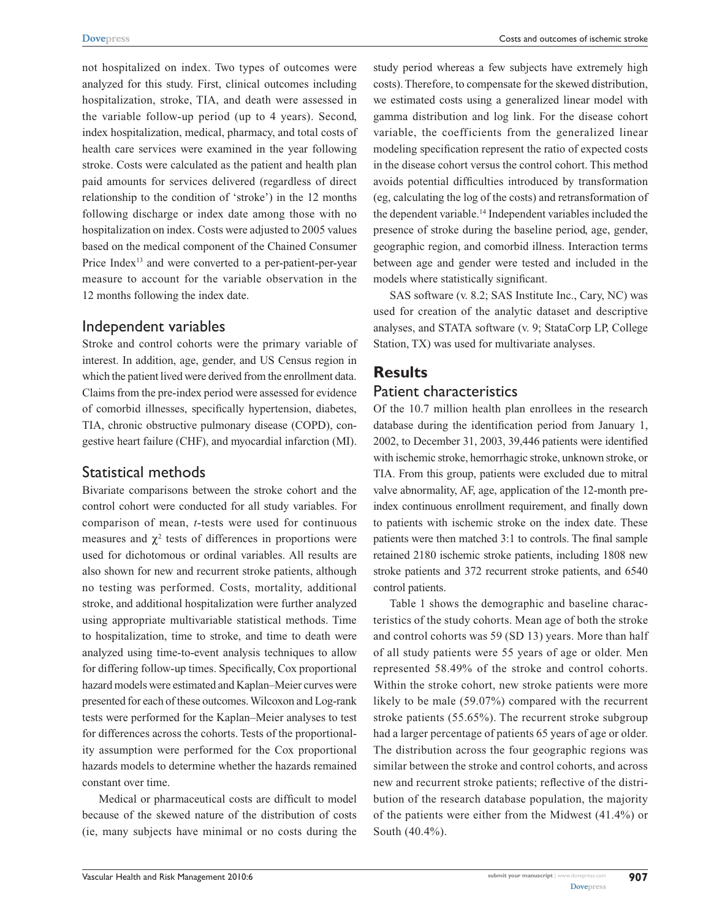not hospitalized on index. Two types of outcomes were analyzed for this study. First, clinical outcomes including hospitalization, stroke, TIA, and death were assessed in the variable follow-up period (up to 4 years). Second, index hospitalization, medical, pharmacy, and total costs of health care services were examined in the year following stroke. Costs were calculated as the patient and health plan paid amounts for services delivered (regardless of direct relationship to the condition of 'stroke') in the 12 months following discharge or index date among those with no hospitalization on index. Costs were adjusted to 2005 values based on the medical component of the Chained Consumer Price Index<sup>13</sup> and were converted to a per-patient-per-year measure to account for the variable observation in the 12 months following the index date.

# Independent variables

Stroke and control cohorts were the primary variable of interest. In addition, age, gender, and US Census region in which the patient lived were derived from the enrollment data. Claims from the pre-index period were assessed for evidence of comorbid illnesses, specifically hypertension, diabetes, TIA, chronic obstructive pulmonary disease (COPD), congestive heart failure (CHF), and myocardial infarction (MI).

# Statistical methods

Bivariate comparisons between the stroke cohort and the control cohort were conducted for all study variables. For comparison of mean, *t*-tests were used for continuous measures and  $\chi^2$  tests of differences in proportions were used for dichotomous or ordinal variables. All results are also shown for new and recurrent stroke patients, although no testing was performed. Costs, mortality, additional stroke, and additional hospitalization were further analyzed using appropriate multivariable statistical methods. Time to hospitalization, time to stroke, and time to death were analyzed using time-to-event analysis techniques to allow for differing follow-up times. Specifically, Cox proportional hazard models were estimated and Kaplan–Meier curves were presented for each of these outcomes. Wilcoxon and Log-rank tests were performed for the Kaplan–Meier analyses to test for differences across the cohorts. Tests of the proportionality assumption were performed for the Cox proportional hazards models to determine whether the hazards remained constant over time.

Medical or pharmaceutical costs are difficult to model because of the skewed nature of the distribution of costs (ie, many subjects have minimal or no costs during the study period whereas a few subjects have extremely high costs). Therefore, to compensate for the skewed distribution, we estimated costs using a generalized linear model with gamma distribution and log link. For the disease cohort variable, the coefficients from the generalized linear modeling specification represent the ratio of expected costs in the disease cohort versus the control cohort. This method avoids potential difficulties introduced by transformation (eg, calculating the log of the costs) and retransformation of the dependent variable.14 Independent variables included the presence of stroke during the baseline period, age, gender, geographic region, and comorbid illness. Interaction terms between age and gender were tested and included in the models where statistically significant.

SAS software (v. 8.2; SAS Institute Inc., Cary, NC) was used for creation of the analytic dataset and descriptive analyses, and STATA software (v. 9; StataCorp LP, College Station, TX) was used for multivariate analyses.

# **Results**

# Patient characteristics

Of the 10.7 million health plan enrollees in the research database during the identification period from January 1, 2002, to December 31, 2003, 39,446 patients were identified with ischemic stroke, hemorrhagic stroke, unknown stroke, or TIA. From this group, patients were excluded due to mitral valve abnormality, AF, age, application of the 12-month preindex continuous enrollment requirement, and finally down to patients with ischemic stroke on the index date. These patients were then matched 3:1 to controls. The final sample retained 2180 ischemic stroke patients, including 1808 new stroke patients and 372 recurrent stroke patients, and 6540 control patients.

Table 1 shows the demographic and baseline characteristics of the study cohorts. Mean age of both the stroke and control cohorts was 59 (SD 13) years. More than half of all study patients were 55 years of age or older. Men represented 58.49% of the stroke and control cohorts. Within the stroke cohort, new stroke patients were more likely to be male (59.07%) compared with the recurrent stroke patients (55.65%). The recurrent stroke subgroup had a larger percentage of patients 65 years of age or older. The distribution across the four geographic regions was similar between the stroke and control cohorts, and across new and recurrent stroke patients; reflective of the distribution of the research database population, the majority of the patients were either from the Midwest (41.4%) or South (40.4%).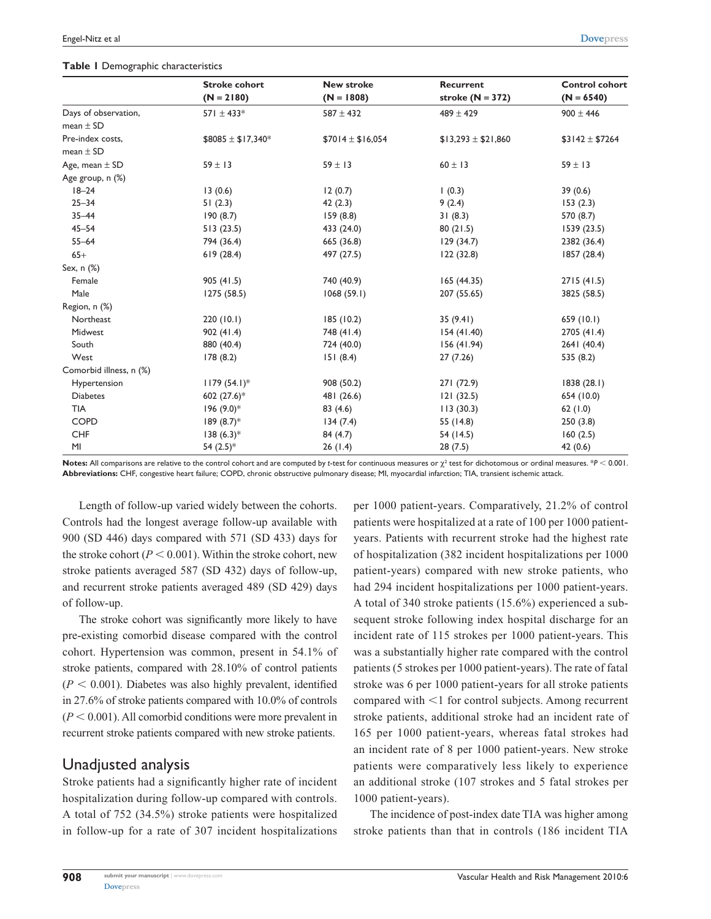#### **Table 1** Demographic characteristics

|                         | <b>Stroke cohort</b>  | <b>New stroke</b>   | Recurrent             | <b>Control cohort</b> |
|-------------------------|-----------------------|---------------------|-----------------------|-----------------------|
|                         | $(N = 2180)$          | $(N = 1808)$        | stroke $(N = 372)$    | $(N = 6540)$          |
| Days of observation,    | 571 $\pm$ 433*        | $587 \pm 432$       | $489 \pm 429$         | $900 \pm 446$         |
| mean $\pm$ SD           |                       |                     |                       |                       |
| Pre-index costs,        | $$8085 \pm $17,340^*$ | $$7014 \pm $16,054$ | $$13,293 \pm $21,860$ | $$3142 \pm $7264$     |
| mean $\pm$ SD           |                       |                     |                       |                       |
| Age, mean $\pm$ SD      | $59 \pm 13$           | $59 \pm 13$         | $60 \pm 13$           | $59 \pm 13$           |
| Age group, n (%)        |                       |                     |                       |                       |
| $18 - 24$               | 13(0.6)               | 12(0.7)             | (0.3)                 | 39(0.6)               |
| $25 - 34$               | 51(2.3)               | 42(2.3)             | 9(2.4)                | 153(2.3)              |
| $35 - 44$               | 190(8.7)              | 159(8.8)            | 31(8.3)               | 570 (8.7)             |
| $45 - 54$               | 513(23.5)             | 433 (24.0)          | 80(21.5)              | 1539(23.5)            |
| $55 - 64$               | 794 (36.4)            | 665 (36.8)          | 129(34.7)             | 2382 (36.4)           |
| $65+$                   | 619(28.4)             | 497 (27.5)          | 122(32.8)             | 1857 (28.4)           |
| Sex, n (%)              |                       |                     |                       |                       |
| Female                  | 905(41.5)             | 740 (40.9)          | 165(44.35)            | 2715(41.5)            |
| Male                    | 1275 (58.5)           | 1068(59.1)          | 207 (55.65)           | 3825 (58.5)           |
| Region, n (%)           |                       |                     |                       |                       |
| Northeast               | 220(10.1)             | 185(10.2)           | 35(9.41)              | 659(10.1)             |
| Midwest                 | 902(41.4)             | 748 (41.4)          | 154(41.40)            | 2705 (41.4)           |
| South                   | 880 (40.4)            | 724 (40.0)          | 156 (41.94)           | 2641 (40.4)           |
| West                    | 178(8.2)              | 151(8.4)            | 27(7.26)              | 535 (8.2)             |
| Comorbid illness, n (%) |                       |                     |                       |                       |
| Hypertension            | $1179(54.1)^*$        | 908 (50.2)          | 271 (72.9)            | 1838(28.1)            |
| <b>Diabetes</b>         | 602 (27.6)*           | 481 (26.6)          | 121(32.5)             | 654 (10.0)            |
| <b>TIA</b>              | $196 (9.0)*$          | 83 (4.6)            | 113(30.3)             | 62(1.0)               |
| <b>COPD</b>             | $189(8.7)$ *          | 134(7.4)            | 55 (14.8)             | 250(3.8)              |
| <b>CHF</b>              | $138(6.3)*$           | 84(4.7)             | 54 (14.5)             | 160(2.5)              |
| MI                      | 54 $(2.5)$ *          | 26(1.4)             | 28(7.5)               | 42(0.6)               |

**Notes:** All comparisons are relative to the control cohort and are computed by *t*-test for continuous measures or  $\chi^2$  test for dichotomous or ordinal measures. \* $P < 0.001$ . **Abbreviations:** CHF, congestive heart failure; COPD, chronic obstructive pulmonary disease; MI, myocardial infarction; TIA, transient ischemic attack.

Length of follow-up varied widely between the cohorts. Controls had the longest average follow-up available with 900 (SD 446) days compared with 571 (SD 433) days for the stroke cohort ( $P < 0.001$ ). Within the stroke cohort, new stroke patients averaged 587 (SD 432) days of follow-up, and recurrent stroke patients averaged 489 (SD 429) days of follow-up.

The stroke cohort was significantly more likely to have pre-existing comorbid disease compared with the control cohort. Hypertension was common, present in 54.1% of stroke patients, compared with 28.10% of control patients  $(P < 0.001)$ . Diabetes was also highly prevalent, identified in 27.6% of stroke patients compared with 10.0% of controls  $(P < 0.001)$ . All comorbid conditions were more prevalent in recurrent stroke patients compared with new stroke patients.

# Unadjusted analysis

Stroke patients had a significantly higher rate of incident hospitalization during follow-up compared with controls. A total of 752 (34.5%) stroke patients were hospitalized in follow-up for a rate of 307 incident hospitalizations per 1000 patient-years. Comparatively, 21.2% of control patients were hospitalized at a rate of 100 per 1000 patientyears. Patients with recurrent stroke had the highest rate of hospitalization (382 incident hospitalizations per 1000 patient-years) compared with new stroke patients, who had 294 incident hospitalizations per 1000 patient-years. A total of 340 stroke patients (15.6%) experienced a subsequent stroke following index hospital discharge for an incident rate of 115 strokes per 1000 patient-years. This was a substantially higher rate compared with the control patients (5 strokes per 1000 patient-years). The rate of fatal stroke was 6 per 1000 patient-years for all stroke patients compared with  $\leq 1$  for control subjects. Among recurrent stroke patients, additional stroke had an incident rate of 165 per 1000 patient-years, whereas fatal strokes had an incident rate of 8 per 1000 patient-years. New stroke patients were comparatively less likely to experience an additional stroke (107 strokes and 5 fatal strokes per 1000 patient-years).

The incidence of post-index date TIA was higher among stroke patients than that in controls (186 incident TIA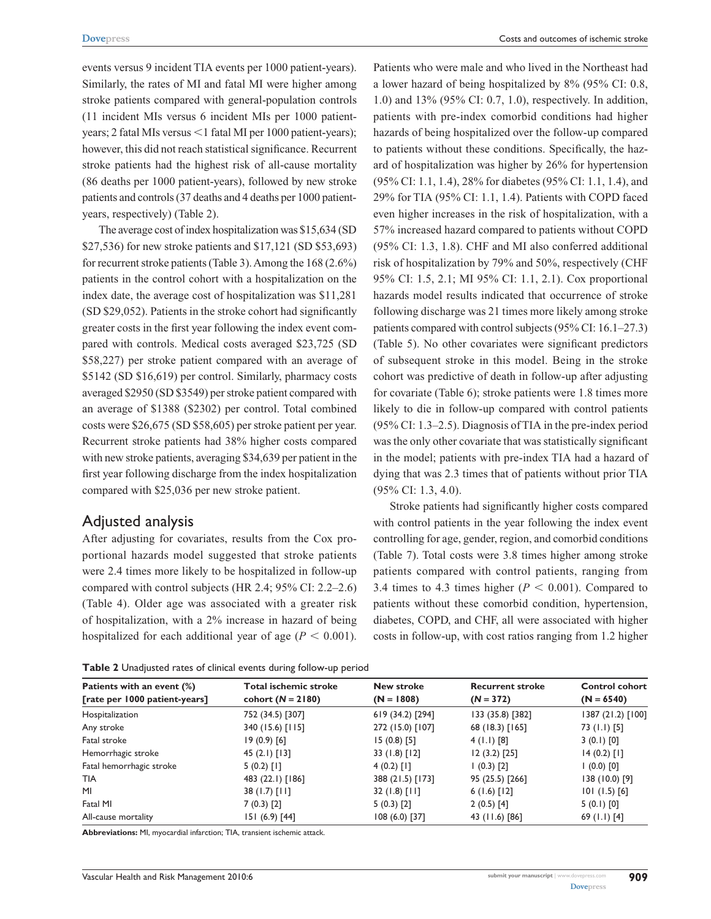events versus 9 incident TIA events per 1000 patient-years). Similarly, the rates of MI and fatal MI were higher among stroke patients compared with general-population controls (11 incident MIs versus 6 incident MIs per 1000 patientyears; 2 fatal MIs versus <1 fatal MI per 1000 patient-years); however, this did not reach statistical significance. Recurrent stroke patients had the highest risk of all-cause mortality (86 deaths per 1000 patient-years), followed by new stroke patients and controls (37 deaths and 4 deaths per 1000 patientyears, respectively) (Table 2).

The average cost of index hospitalization was \$15,634 (SD \$27,536) for new stroke patients and \$17,121 (SD \$53,693) for recurrent stroke patients (Table 3). Among the 168 (2.6%) patients in the control cohort with a hospitalization on the index date, the average cost of hospitalization was \$11,281 (SD \$29,052). Patients in the stroke cohort had significantly greater costs in the first year following the index event compared with controls. Medical costs averaged \$23,725 (SD \$58,227) per stroke patient compared with an average of \$5142 (SD \$16,619) per control. Similarly, pharmacy costs averaged \$2950 (SD \$3549) per stroke patient compared with an average of \$1388 (\$2302) per control. Total combined costs were \$26,675 (SD \$58,605) per stroke patient per year. Recurrent stroke patients had 38% higher costs compared with new stroke patients, averaging \$34,639 per patient in the first year following discharge from the index hospitalization compared with \$25,036 per new stroke patient.

### Adjusted analysis

After adjusting for covariates, results from the Cox proportional hazards model suggested that stroke patients were 2.4 times more likely to be hospitalized in follow-up compared with control subjects (HR 2.4; 95% CI: 2.2–2.6) (Table 4). Older age was associated with a greater risk of hospitalization, with a 2% increase in hazard of being hospitalized for each additional year of age  $(P < 0.001)$ . Patients who were male and who lived in the Northeast had a lower hazard of being hospitalized by 8% (95% CI: 0.8, 1.0) and 13% (95% CI: 0.7, 1.0), respectively. In addition, patients with pre-index comorbid conditions had higher hazards of being hospitalized over the follow-up compared to patients without these conditions. Specifically, the hazard of hospitalization was higher by 26% for hypertension (95% CI: 1.1, 1.4), 28% for diabetes (95% CI: 1.1, 1.4), and 29% for TIA (95% CI: 1.1, 1.4). Patients with COPD faced even higher increases in the risk of hospitalization, with a 57% increased hazard compared to patients without COPD (95% CI: 1.3, 1.8). CHF and MI also conferred additional risk of hospitalization by 79% and 50%, respectively (CHF 95% CI: 1.5, 2.1; MI 95% CI: 1.1, 2.1). Cox proportional hazards model results indicated that occurrence of stroke following discharge was 21 times more likely among stroke patients compared with control subjects (95% CI: 16.1–27.3) (Table 5). No other covariates were significant predictors of subsequent stroke in this model. Being in the stroke cohort was predictive of death in follow-up after adjusting for covariate (Table 6); stroke patients were 1.8 times more likely to die in follow-up compared with control patients (95% CI: 1.3–2.5). Diagnosis of TIA in the pre-index period was the only other covariate that was statistically significant in the model; patients with pre-index TIA had a hazard of dying that was 2.3 times that of patients without prior TIA (95% CI: 1.3, 4.0).

Stroke patients had significantly higher costs compared with control patients in the year following the index event controlling for age, gender, region, and comorbid conditions (Table 7). Total costs were 3.8 times higher among stroke patients compared with control patients, ranging from 3.4 times to 4.3 times higher  $(P < 0.001)$ . Compared to patients without these comorbid condition, hypertension, diabetes, COPD, and CHF, all were associated with higher costs in follow-up, with cost ratios ranging from 1.2 higher

**Table 2** Unadjusted rates of clinical events during follow-up period

| Patients with an event (%)    | <b>Total ischemic stroke</b> | <b>New stroke</b> | <b>Recurrent stroke</b> | <b>Control cohort</b> |
|-------------------------------|------------------------------|-------------------|-------------------------|-----------------------|
| [rate per 1000 patient-years] | cohort $(N = 2180)$          | $(N = 1808)$      | $(N = 372)$             | $(N = 6540)$          |
| Hospitalization               | 752 (34.5) [307]             | 619 (34.2) [294]  | 133 (35.8) [382]        | 1387 (21.2) [100]     |
| Any stroke                    | 340 (15.6) [115]             | 272 (15.0) [107]  | 68 (18.3) [165]         | 73 (1.1) [5]          |
| Fatal stroke                  | $19(0.9)$ [6]                | $15(0.8)$ [5]     | $4$ (1.1) [8]           | $3(0.1)$ [0]          |
| Hemorrhagic stroke            | 45 $(2.1)$ [13]              | $33(1.8)$ [12]    | $12(3.2)$ [25]          | $14(0.2)$ [1]         |
| Fatal hemorrhagic stroke      | $5(0.2)$ [1]                 | $4(0.2)$ [1]      | $(0.3)$ [2]             | $(0.0)$ [0]           |
| <b>TIA</b>                    | 483 (22.1) [186]             | 388 (21.5) [173]  | 95 (25.5) [266]         | 138 (10.0) [9]        |
| MI                            | $38(1.7)$ [11]               | $32(1.8)$ [11]    | $6(1.6)$ [12]           | $101(1.5)$ [6]        |
| Fatal MI                      | $7(0.3)$ [2]                 | 5(0.3)[2]         | $2(0.5)$ [4]            | 5(0.1)[0]             |
| All-cause mortality           | 151 (6.9) [44]               | $108(6.0)$ [37]   | 43 (11.6) [86]          | 69 $(1.1)$ [4]        |

**Abbreviations:** MI, myocardial infarction; TIA, transient ischemic attack.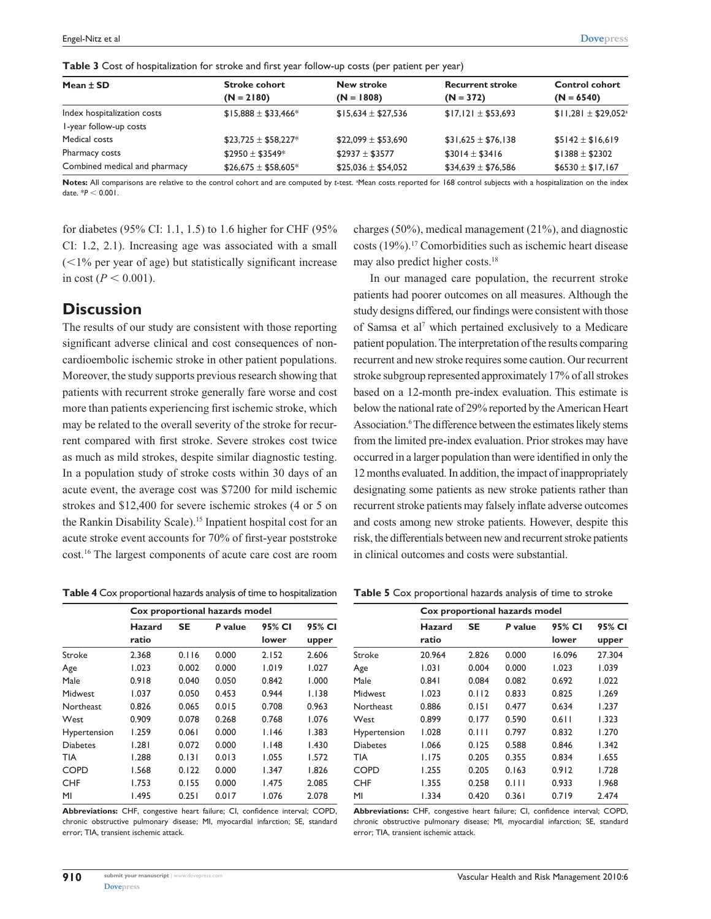**Table 3** Cost of hospitalization for stroke and first year follow-up costs (per patient per year)

| Mean $\pm$ SD                 | <b>Stroke cohort</b>    | <b>New stroke</b>     | <b>Recurrent stroke</b> | <b>Control cohort</b>         |
|-------------------------------|-------------------------|-----------------------|-------------------------|-------------------------------|
|                               | $(N = 2180)$            | $(N = 1808)$          | $(N = 372)$             | $(N = 6540)$                  |
| Index hospitalization costs   | $$15,888 \pm $33,466^*$ | $$15.634 \pm $27.536$ | $$17,121 \pm $53,693$   | $$11,281 \pm $29,052^{\circ}$ |
| I-year follow-up costs        |                         |                       |                         |                               |
| Medical costs                 | $$23,725 \pm $58,227^*$ | $$22,099 \pm $53,690$ | $$31,625 \pm $76,138$   | $$5142 \pm $16,619$           |
| Pharmacy costs                | $$2950 \pm $3549*$      | $$2937 \pm $3577$     | $$3014 \pm $3416$       | $$1388 \pm $2302$             |
| Combined medical and pharmacy | $$26,675 \pm $58,605*$  | $$25,036 \pm $54,052$ | $$34,639 \pm $76,586$   | $$6530 \pm $17,167$           |

Notes: All comparisons are relative to the control cohort and are computed by t-test. <sup>a</sup> Mean costs reported for 168 control subjects with a hospitalization on the index date.  $*P < 0.001$ .

for diabetes (95% CI: 1.1, 1.5) to 1.6 higher for CHF (95% CI: 1.2, 2.1). Increasing age was associated with a small  $(<1%$  per year of age) but statistically significant increase in cost ( $P < 0.001$ ).

## **Discussion**

The results of our study are consistent with those reporting significant adverse clinical and cost consequences of noncardioembolic ischemic stroke in other patient populations. Moreover, the study supports previous research showing that patients with recurrent stroke generally fare worse and cost more than patients experiencing first ischemic stroke, which may be related to the overall severity of the stroke for recurrent compared with first stroke. Severe strokes cost twice as much as mild strokes, despite similar diagnostic testing. In a population study of stroke costs within 30 days of an acute event, the average cost was \$7200 for mild ischemic strokes and \$12,400 for severe ischemic strokes (4 or 5 on the Rankin Disability Scale).<sup>15</sup> Inpatient hospital cost for an acute stroke event accounts for 70% of first-year poststroke cost.16 The largest components of acute care cost are room

**Table 4** Cox proportional hazards analysis of time to hospitalization

|                  | Cox proportional hazards model |           |         |        |        |
|------------------|--------------------------------|-----------|---------|--------|--------|
|                  | Hazard                         | <b>SE</b> | P value | 95% CI | 95% CI |
|                  | ratio                          |           |         | lower  | upper  |
| Stroke           | 2.368                          | 0.116     | 0.000   | 2.152  | 2.606  |
| Age              | 1.023                          | 0.002     | 0.000   | 1.019  | 1.027  |
| Male             | 0.918                          | 0.040     | 0.050   | 0.842  | 1.000  |
| <b>Midwest</b>   | 1.037                          | 0.050     | 0.453   | 0.944  | 1.138  |
| <b>Northeast</b> | 0.826                          | 0.065     | 0.015   | 0.708  | 0.963  |
| West             | 0.909                          | 0.078     | 0.268   | 0.768  | 1.076  |
| Hypertension     | 1.259                          | 0.061     | 0.000   | 1.146  | 1.383  |
| <b>Diabetes</b>  | 1.281                          | 0.072     | 0.000   | 1.148  | 1.430  |
| TIA              | 1.288                          | 0.131     | 0.013   | 1.055  | 1.572  |
| <b>COPD</b>      | 1.568                          | 0.122     | 0.000   | 1.347  | 1.826  |
| <b>CHF</b>       | 1.753                          | 0.155     | 0.000   | 1.475  | 2.085  |
| MI               | I.495                          | 0.251     | 0.017   | 1.076  | 2.078  |

**Abbreviations:** CHF, congestive heart failure; CI, confidence interval; COPD, chronic obstructive pulmonary disease; MI, myocardial infarction; SE, standard error; TIA, transient ischemic attack.

charges (50%), medical management (21%), and diagnostic costs (19%).17 Comorbidities such as ischemic heart disease may also predict higher costs.18

In our managed care population, the recurrent stroke patients had poorer outcomes on all measures. Although the study designs differed, our findings were consistent with those of Samsa et al<sup>7</sup> which pertained exclusively to a Medicare patient population. The interpretation of the results comparing recurrent and new stroke requires some caution. Our recurrent stroke subgroup represented approximately 17% of all strokes based on a 12-month pre-index evaluation. This estimate is below the national rate of 29% reported by the American Heart Association.<sup>6</sup> The difference between the estimates likely stems from the limited pre-index evaluation. Prior strokes may have occurred in a larger population than were identified in only the 12months evaluated. In addition, the impact of inappropriately designating some patients as new stroke patients rather than recurrent stroke patients may falsely inflate adverse outcomes and costs among new stroke patients. However, despite this risk, the differentials between new and recurrent stroke patients in clinical outcomes and costs were substantial.

|                 | Cox proportional hazards model |       |         |        |        |
|-----------------|--------------------------------|-------|---------|--------|--------|
|                 | Hazard                         | SE    | P value | 95% CI | 95% CI |
|                 | ratio                          |       |         | lower  | upper  |
| Stroke          | 20.964                         | 2.826 | 0.000   | 16.096 | 27.304 |
| Age             | 1.031                          | 0.004 | 0.000   | 1.023  | 1.039  |
| Male            | 0.841                          | 0.084 | 0.082   | 0.692  | 1.022  |
| <b>Midwest</b>  | 1.023                          | 0.112 | 0.833   | 0.825  | 1.269  |
| Northeast       | 0.886                          | 0.151 | 0.477   | 0.634  | 1.237  |
| West            | 0.899                          | 0.177 | 0.590   | 0.611  | 1.323  |
| Hypertension    | 1.028                          | 0.111 | 0.797   | 0.832  | 1.270  |
| <b>Diabetes</b> | 1.066                          | 0.125 | 0.588   | 0.846  | 1.342  |
| TIA             | 1.175                          | 0.205 | 0.355   | 0.834  | 1.655  |
| COPD            | 1.255                          | 0.205 | 0.163   | 0.912  | 1.728  |
| <b>CHF</b>      | 1.355                          | 0.258 | 0.111   | 0.933  | 1.968  |
| MI              | 1.334                          | 0.420 | 0.361   | 0.719  | 2.474  |

**Abbreviations:** CHF, congestive heart failure; CI, confidence interval; COPD, chronic obstructive pulmonary disease; MI, myocardial infarction; SE, standard error; TIA, transient ischemic attack.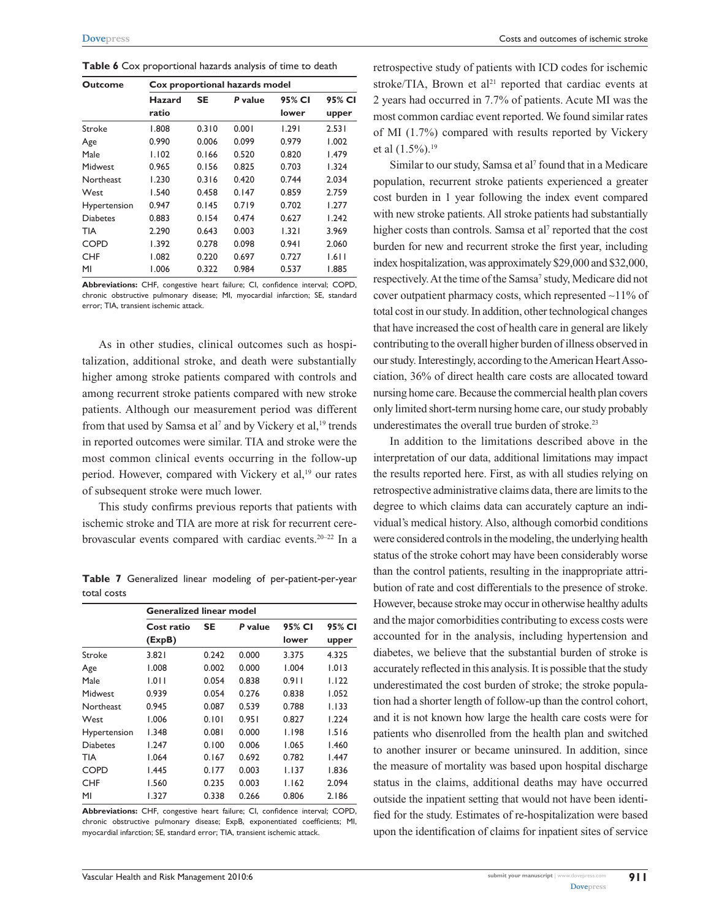| <b>Outcome</b>  | Cox proportional hazards model |           |         |        |        |  |
|-----------------|--------------------------------|-----------|---------|--------|--------|--|
|                 | Hazard                         | <b>SE</b> | P value | 95% CI | 95% CI |  |
|                 | ratio                          |           |         | lower  | upper  |  |
| Stroke          | 1.808                          | 0.310     | 0.001   | 1.291  | 2.531  |  |
| Age             | 0.990                          | 0.006     | 0.099   | 0.979  | 1.002  |  |
| Male            | 1.102                          | 0.166     | 0.520   | 0.820  | 1.479  |  |
| Midwest         | 0.965                          | 0.156     | 0.825   | 0.703  | 1.324  |  |
| Northeast       | 1.230                          | 0.316     | 0.420   | 0.744  | 2.034  |  |
| West            | 1.540                          | 0.458     | 0.147   | 0.859  | 2.759  |  |
| Hypertension    | 0.947                          | 0.145     | 0.719   | 0.702  | 1.277  |  |
| <b>Diabetes</b> | 0.883                          | 0.154     | 0.474   | 0.627  | 1.242  |  |
| TIA             | 2.290                          | 0.643     | 0.003   | 1.321  | 3.969  |  |
| <b>COPD</b>     | 1.392                          | 0.278     | 0.098   | 0.941  | 2.060  |  |
| <b>CHF</b>      | 1.082                          | 0.220     | 0.697   | 0.727  | 1.611  |  |
| MI              | 1.006                          | 0.322     | 0.984   | 0.537  | 1.885  |  |

**Table 6** Cox proportional hazards analysis of time to death

**Abbreviations:** CHF, congestive heart failure; CI, confidence interval; COPD, chronic obstructive pulmonary disease; MI, myocardial infarction; SE, standard error; TIA, transient ischemic attack.

As in other studies, clinical outcomes such as hospitalization, additional stroke, and death were substantially higher among stroke patients compared with controls and among recurrent stroke patients compared with new stroke patients. Although our measurement period was different from that used by Samsa et al<sup>7</sup> and by Vickery et al,<sup>19</sup> trends in reported outcomes were similar. TIA and stroke were the most common clinical events occurring in the follow-up period. However, compared with Vickery et al,<sup>19</sup> our rates of subsequent stroke were much lower.

This study confirms previous reports that patients with ischemic stroke and TIA are more at risk for recurrent cerebrovascular events compared with cardiac events.20–22 In a

**Table 7** Generalized linear modeling of per-patient-per-year total costs

|                  | <b>Generalized linear model</b> |           |         |        |        |  |  |
|------------------|---------------------------------|-----------|---------|--------|--------|--|--|
|                  | Cost ratio                      | <b>SE</b> | P value | 95% CI | 95% CI |  |  |
|                  | (ExpB)                          |           |         |        |        |  |  |
| Stroke           | 3.821                           | 0.242     | 0.000   | 3.375  | 4.325  |  |  |
| Age              | 1.008                           | 0.002     | 0.000   | 1.004  | 1.013  |  |  |
| Male             | 1.011                           | 0.054     | 0.838   | 0.911  | 1.122  |  |  |
| Midwest          | 0.939                           | 0.054     | 0.276   | 0.838  | 1.052  |  |  |
| <b>Northeast</b> | 0.945                           | 0.087     | 0.539   | 0.788  | 1.133  |  |  |
| West             | 1.006                           | 0.101     | 0.951   | 0.827  | 1.224  |  |  |
| Hypertension     | 1.348                           | 0.081     | 0.000   | I.I98  | 1.516  |  |  |
| <b>Diabetes</b>  | 1.247                           | 0.100     | 0.006   | 1.065  | 1.460  |  |  |
| TIA              | 1.064                           | 0.167     | 0.692   | 0.782  | 1.447  |  |  |
| <b>COPD</b>      | 1.445                           | 0.177     | 0.003   | I.I37  | 1.836  |  |  |
| <b>CHF</b>       | 1.560                           | 0.235     | 0.003   | 1.162  | 2.094  |  |  |
| MI               | 1.327                           | 0.338     | 0.266   | 0.806  | 2.186  |  |  |

**Abbreviations:** CHF, congestive heart failure; CI, confidence interval; COPD, chronic obstructive pulmonary disease; ExpB, exponentiated coefficients; MI, myocardial infarction; SE, standard error; TIA, transient ischemic attack.

retrospective study of patients with ICD codes for ischemic stroke/TIA, Brown et al<sup>21</sup> reported that cardiac events at 2 years had occurred in 7.7% of patients. Acute MI was the most common cardiac event reported. We found similar rates of MI (1.7%) compared with results reported by Vickery et al  $(1.5\%)$ <sup>19</sup>

Similar to our study, Samsa et al<sup>7</sup> found that in a Medicare population, recurrent stroke patients experienced a greater cost burden in 1 year following the index event compared with new stroke patients. All stroke patients had substantially higher costs than controls. Samsa et al<sup>7</sup> reported that the cost burden for new and recurrent stroke the first year, including index hospitalization, was approximately \$29,000 and \$32,000, respectively. At the time of the Samsa<sup>7</sup> study, Medicare did not cover outpatient pharmacy costs, which represented ∼11% of total cost in our study. In addition, other technological changes that have increased the cost of health care in general are likely contributing to the overall higher burden of illness observed in our study. Interestingly, according to the American Heart Association, 36% of direct health care costs are allocated toward nursing home care. Because the commercial health plan covers only limited short-term nursing home care, our study probably underestimates the overall true burden of stroke.<sup>23</sup>

In addition to the limitations described above in the interpretation of our data, additional limitations may impact the results reported here. First, as with all studies relying on retrospective administrative claims data, there are limits to the degree to which claims data can accurately capture an individual's medical history. Also, although comorbid conditions were considered controls in the modeling, the underlying health status of the stroke cohort may have been considerably worse than the control patients, resulting in the inappropriate attribution of rate and cost differentials to the presence of stroke. However, because stroke may occur in otherwise healthy adults and the major comorbidities contributing to excess costs were accounted for in the analysis, including hypertension and diabetes, we believe that the substantial burden of stroke is accurately reflected in this analysis. It is possible that the study underestimated the cost burden of stroke; the stroke population had a shorter length of follow-up than the control cohort, and it is not known how large the health care costs were for patients who disenrolled from the health plan and switched to another insurer or became uninsured. In addition, since the measure of mortality was based upon hospital discharge status in the claims, additional deaths may have occurred outside the inpatient setting that would not have been identified for the study. Estimates of re-hospitalization were based upon the identification of claims for inpatient sites of service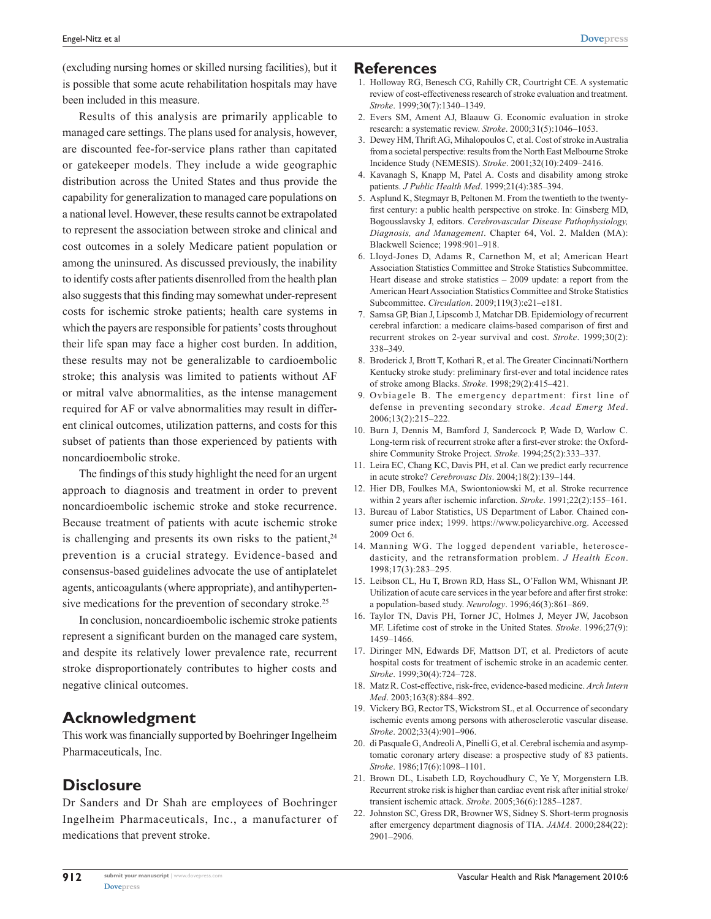(excluding nursing homes or skilled nursing facilities), but it is possible that some acute rehabilitation hospitals may have been included in this measure.

Results of this analysis are primarily applicable to managed care settings. The plans used for analysis, however, are discounted fee-for-service plans rather than capitated or gatekeeper models. They include a wide geographic distribution across the United States and thus provide the capability for generalization to managed care populations on a national level. However, these results cannot be extrapolated to represent the association between stroke and clinical and cost outcomes in a solely Medicare patient population or among the uninsured. As discussed previously, the inability to identify costs after patients disenrolled from the health plan also suggests that this finding may somewhat under-represent costs for ischemic stroke patients; health care systems in which the payers are responsible for patients' costs throughout their life span may face a higher cost burden. In addition, these results may not be generalizable to cardioembolic stroke; this analysis was limited to patients without AF or mitral valve abnormalities, as the intense management required for AF or valve abnormalities may result in different clinical outcomes, utilization patterns, and costs for this subset of patients than those experienced by patients with noncardioembolic stroke.

The findings of this study highlight the need for an urgent approach to diagnosis and treatment in order to prevent noncardioembolic ischemic stroke and stoke recurrence. Because treatment of patients with acute ischemic stroke is challenging and presents its own risks to the patient, $24$ prevention is a crucial strategy. Evidence-based and consensus-based guidelines advocate the use of antiplatelet agents, anticoagulants (where appropriate), and antihypertensive medications for the prevention of secondary stroke.<sup>25</sup>

In conclusion, noncardioembolic ischemic stroke patients represent a significant burden on the managed care system, and despite its relatively lower prevalence rate, recurrent stroke disproportionately contributes to higher costs and negative clinical outcomes.

### **Acknowledgment**

This work was financially supported by Boehringer Ingelheim Pharmaceuticals, Inc.

# **Disclosure**

Dr Sanders and Dr Shah are employees of Boehringer Ingelheim Pharmaceuticals, Inc., a manufacturer of medications that prevent stroke.

### **References**

- 1. Holloway RG, Benesch CG, Rahilly CR, Courtright CE. A systematic review of cost-effectiveness research of stroke evaluation and treatment. *Stroke*. 1999;30(7):1340–1349.
- 2. Evers SM, Ament AJ, Blaauw G. Economic evaluation in stroke research: a systematic review. *Stroke*. 2000;31(5):1046–1053.
- 3. Dewey HM, Thrift AG, Mihalopoulos C, et al. Cost of stroke in Australia from a societal perspective: results from the North East Melbourne Stroke Incidence Study (NEMESIS). *Stroke*. 2001;32(10):2409–2416.
- 4. Kavanagh S, Knapp M, Patel A. Costs and disability among stroke patients. *J Public Health Med*. 1999;21(4):385–394.
- 5. Asplund K, Stegmayr B, Peltonen M. From the twentieth to the twentyfirst century: a public health perspective on stroke. In: Ginsberg MD, Bogousslavsky J, editors. *Cerebrovascular Disease Pathophysiology, Diagnosis, and Management*. Chapter 64, Vol. 2. Malden (MA): Blackwell Science; 1998:901–918.
- 6. Lloyd-Jones D, Adams R, Carnethon M, et al; American Heart Association Statistics Committee and Stroke Statistics Subcommittee. Heart disease and stroke statistics – 2009 update: a report from the American Heart Association Statistics Committee and Stroke Statistics Subcommittee. *Circulation*. 2009;119(3):e21–e181.
- 7. Samsa GP, Bian J, Lipscomb J, Matchar DB. Epidemiology of recurrent cerebral infarction: a medicare claims-based comparison of first and recurrent strokes on 2-year survival and cost. *Stroke*. 1999;30(2): 338–349.
- 8. Broderick J, Brott T, Kothari R, et al. The Greater Cincinnati/Northern Kentucky stroke study: preliminary first-ever and total incidence rates of stroke among Blacks. *Stroke*. 1998;29(2):415–421.
- 9. Ovbiagele B. The emergency department: first line of defense in preventing secondary stroke. *Acad Emerg Med*. 2006;13(2):215–222.
- 10. Burn J, Dennis M, Bamford J, Sandercock P, Wade D, Warlow C. Long-term risk of recurrent stroke after a first-ever stroke: the Oxfordshire Community Stroke Project. *Stroke*. 1994;25(2):333–337.
- 11. Leira EC, Chang KC, Davis PH, et al. Can we predict early recurrence in acute stroke? *Cerebrovasc Dis*. 2004;18(2):139–144.
- 12. Hier DB, Foulkes MA, Swiontoniowski M, et al. Stroke recurrence within 2 years after ischemic infarction. *Stroke*. 1991;22(2):155–161.
- 13. Bureau of Labor Statistics, US Department of Labor. Chained consumer price index; 1999. [https://www.policyarchive.org.](https://www.policyarchive.org) Accessed 2009 Oct 6.
- 14. Manning WG. The logged dependent variable, heteroscedasticity, and the retransformation problem. *J Health Econ*. 1998;17(3):283–295.
- 15. Leibson CL, Hu T, Brown RD, Hass SL, O'Fallon WM, Whisnant JP. Utilization of acute care services in the year before and after first stroke: a population-based study. *Neurology*. 1996;46(3):861–869.
- 16. Taylor TN, Davis PH, Torner JC, Holmes J, Meyer JW, Jacobson MF. Lifetime cost of stroke in the United States. *Stroke*. 1996;27(9): 1459–1466.
- 17. Diringer MN, Edwards DF, Mattson DT, et al. Predictors of acute hospital costs for treatment of ischemic stroke in an academic center. *Stroke*. 1999;30(4):724–728.
- 18. Matz R. Cost-effective, risk-free, evidence-based medicine. *Arch Intern Med*. 2003;163(8):884–892.
- 19. Vickery BG, Rector TS, Wickstrom SL, et al. Occurrence of secondary ischemic events among persons with atherosclerotic vascular disease. *Stroke*. 2002;33(4):901–906.
- 20. di Pasquale G, Andreoli A, Pinelli G, et al. Cerebral ischemia and asymptomatic coronary artery disease: a prospective study of 83 patients. *Stroke*. 1986;17(6):1098–1101.
- 21. Brown DL, Lisabeth LD, Roychoudhury C, Ye Y, Morgenstern LB. Recurrent stroke risk is higher than cardiac event risk after initial stroke/ transient ischemic attack. *Stroke*. 2005;36(6):1285–1287.
- 22. Johnston SC, Gress DR, Browner WS, Sidney S. Short-term prognosis after emergency department diagnosis of TIA. *JAMA*. 2000;284(22): 2901–2906.

**912**